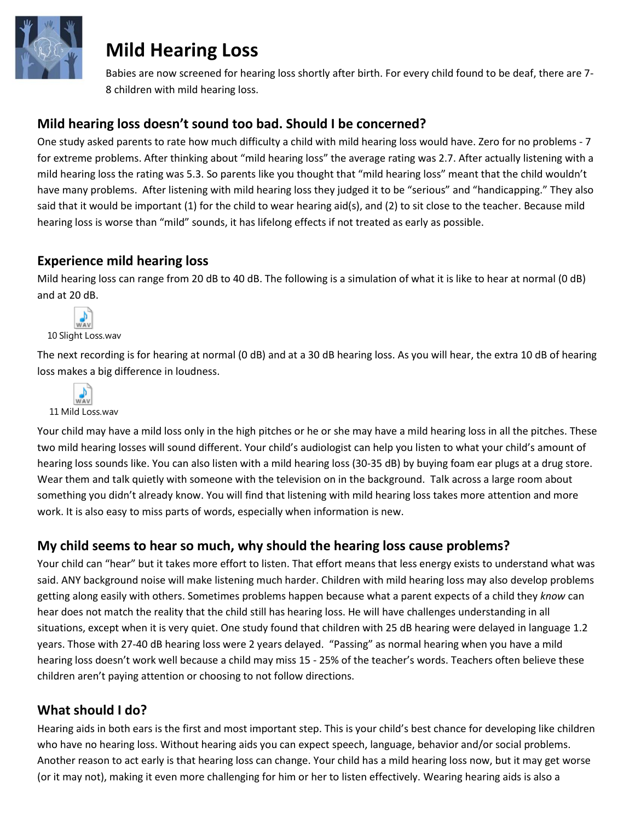

# **Mild Hearing Loss**

Babies are now screened for hearing loss shortly after birth. For every child found to be deaf, there are 7- 8 children with mild hearing loss.

### **Mild hearing loss doesn't sound too bad. Should I be concerned?**

One study asked parents to rate how much difficulty a child with mild hearing loss would have. Zero for no problems - 7 for extreme problems. After thinking about "mild hearing loss" the average rating was 2.7. After actually listening with a mild hearing loss the rating was 5.3. So parents like you thought that "mild hearing loss" meant that the child wouldn't have many problems. After listening with mild hearing loss they judged it to be "serious" and "handicapping." They also said that it would be important (1) for the child to wear hearing aid(s), and (2) to sit close to the teacher. Because mild hearing loss is worse than "mild" sounds, it has lifelong effects if not treated as early as possible.

### **Experience mild hearing loss**

Mild hearing loss can range from 20 dB to 40 dB. The following is a simulation of what it is like to hear at normal (0 dB) and at 20 dB.



The next recording is for hearing at normal (0 dB) and at a 30 dB hearing loss. As you will hear, the extra 10 dB of hearing loss makes a big difference in loudness.



Your child may have a mild loss only in the high pitches or he or she may have a mild hearing loss in all the pitches. These two mild hearing losses will sound different. Your child's audiologist can help you listen to what your child's amount of hearing loss sounds like. You can also listen with a mild hearing loss (30-35 dB) by buying foam ear plugs at a drug store. Wear them and talk quietly with someone with the television on in the background. Talk across a large room about something you didn't already know. You will find that listening with mild hearing loss takes more attention and more work. It is also easy to miss parts of words, especially when information is new.

## **My child seems to hear so much, why should the hearing loss cause problems?**

Your child can "hear" but it takes more effort to listen. That effort means that less energy exists to understand what was said. ANY background noise will make listening much harder. Children with mild hearing loss may also develop problems getting along easily with others. Sometimes problems happen because what a parent expects of a child they *know* can hear does not match the reality that the child still has hearing loss. He will have challenges understanding in all situations, except when it is very quiet. One study found that children with 25 dB hearing were delayed in language 1.2 years. Those with 27-40 dB hearing loss were 2 years delayed. "Passing" as normal hearing when you have a mild hearing loss doesn't work well because a child may miss 15 - 25% of the teacher's words. Teachers often believe these children aren't paying attention or choosing to not follow directions.

## **What should I do?**

Hearing aids in both ears is the first and most important step. This is your child's best chance for developing like children who have no hearing loss. Without hearing aids you can expect speech, language, behavior and/or social problems. Another reason to act early is that hearing loss can change. Your child has a mild hearing loss now, but it may get worse (or it may not), making it even more challenging for him or her to listen effectively. Wearing hearing aids is also a